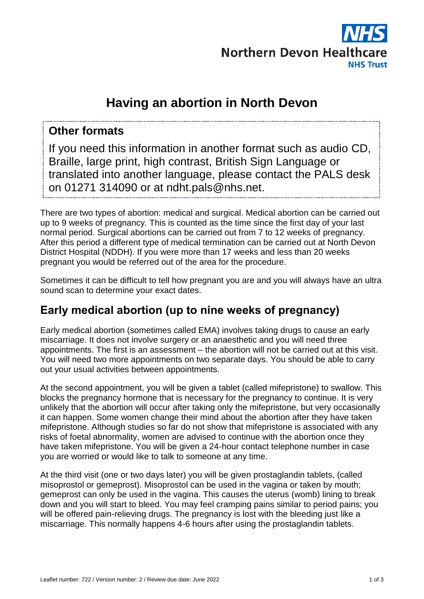

# **Having an abortion in North Devon**

#### **Other formats**

If you need this information in another format such as audio CD, Braille, large print, high contrast, British Sign Language or translated into another language, please contact the PALS desk on 01271 314090 or at ndht.pals@nhs.net.

There are two types of abortion: medical and surgical. Medical abortion can be carried out up to 9 weeks of pregnancy. This is counted as the time since the first day of your last normal period. Surgical abortions can be carried out from 7 to 12 weeks of pregnancy. After this period a different type of medical termination can be carried out at North Devon District Hospital (NDDH). If you were more than 17 weeks and less than 20 weeks pregnant you would be referred out of the area for the procedure.

Sometimes it can be difficult to tell how pregnant you are and you will always have an ultra sound scan to determine your exact dates.

## **Early medical abortion (up to nine weeks of pregnancy)**

Early medical abortion (sometimes called EMA) involves taking drugs to cause an early miscarriage. It does not involve surgery or an anaesthetic and you will need three appointments. The first is an assessment – the abortion will not be carried out at this visit. You will need two more appointments on two separate days. You should be able to carry out your usual activities between appointments.

At the second appointment, you will be given a tablet (called mifepristone) to swallow. This blocks the pregnancy hormone that is necessary for the pregnancy to continue. It is very unlikely that the abortion will occur after taking only the mifepristone, but very occasionally it can happen. Some women change their mind about the abortion after they have taken mifepristone. Although studies so far do not show that mifepristone is associated with any risks of foetal abnormality, women are advised to continue with the abortion once they have taken mifepristone. You will be given a 24-hour contact telephone number in case you are worried or would like to talk to someone at any time.

At the third visit (one or two days later) you will be given prostaglandin tablets, (called misoprostol or gemeprost). Misoprostol can be used in the vagina or taken by mouth; gemeprost can only be used in the vagina. This causes the uterus (womb) lining to break down and you will start to bleed. You may feel cramping pains similar to period pains; you will be offered pain-relieving drugs. The pregnancy is lost with the bleeding just like a miscarriage. This normally happens 4-6 hours after using the prostaglandin tablets.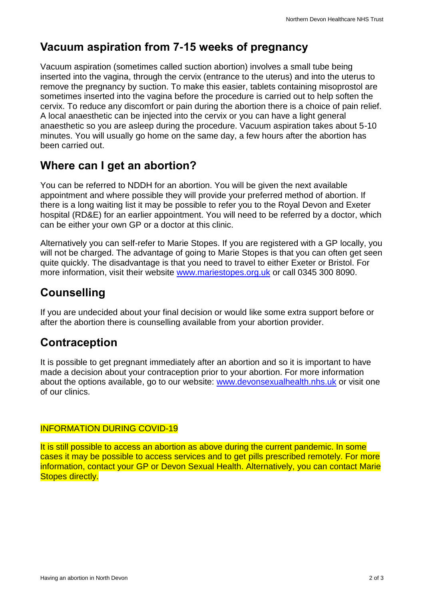#### **Vacuum aspiration from 7-15 weeks of pregnancy**

Vacuum aspiration (sometimes called suction abortion) involves a small tube being inserted into the vagina, through the cervix (entrance to the uterus) and into the uterus to remove the pregnancy by suction. To make this easier, tablets containing misoprostol are sometimes inserted into the vagina before the procedure is carried out to help soften the cervix. To reduce any discomfort or pain during the abortion there is a choice of pain relief. A local anaesthetic can be injected into the cervix or you can have a light general anaesthetic so you are asleep during the procedure. Vacuum aspiration takes about 5-10 minutes. You will usually go home on the same day, a few hours after the abortion has been carried out.

## **Where can I get an abortion?**

You can be referred to NDDH for an abortion. You will be given the next available appointment and where possible they will provide your preferred method of abortion. If there is a long waiting list it may be possible to refer you to the Royal Devon and Exeter hospital (RD&E) for an earlier appointment. You will need to be referred by a doctor, which can be either your own GP or a doctor at this clinic.

Alternatively you can self-refer to Marie Stopes. If you are registered with a GP locally, you will not be charged. The advantage of going to Marie Stopes is that you can often get seen quite quickly. The disadvantage is that you need to travel to either Exeter or Bristol. For more information, visit their website [www.mariestopes.org.uk](https://www.mariestopes.org.uk/) or call 0345 300 8090.

## **Counselling**

If you are undecided about your final decision or would like some extra support before or after the abortion there is counselling available from your abortion provider.

## **Contraception**

It is possible to get pregnant immediately after an abortion and so it is important to have made a decision about your contraception prior to your abortion. For more information about the options available, go to our website: [www.devonsexualhealth.nhs.uk](https://www.devonsexualhealth.nhs.uk/) or visit one of our clinics.

#### INFORMATION DURING COVID-19

It is still possible to access an abortion as above during the current pandemic. In some cases it may be possible to access services and to get pills prescribed remotely. For more information, contact your GP or Devon Sexual Health. Alternatively, you can contact Marie Stopes directly.